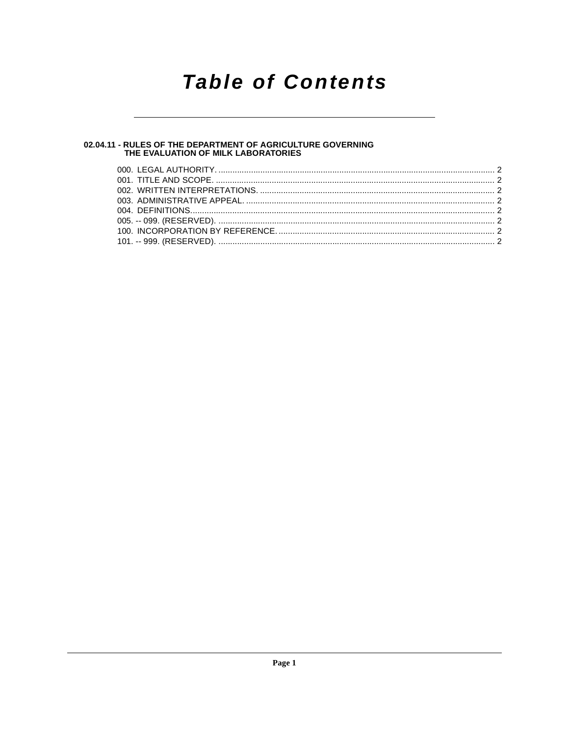## **Table of Contents**

### 02.04.11 - RULES OF THE DEPARTMENT OF AGRICULTURE GOVERNING<br>THE EVALUATION OF MILK LABORATORIES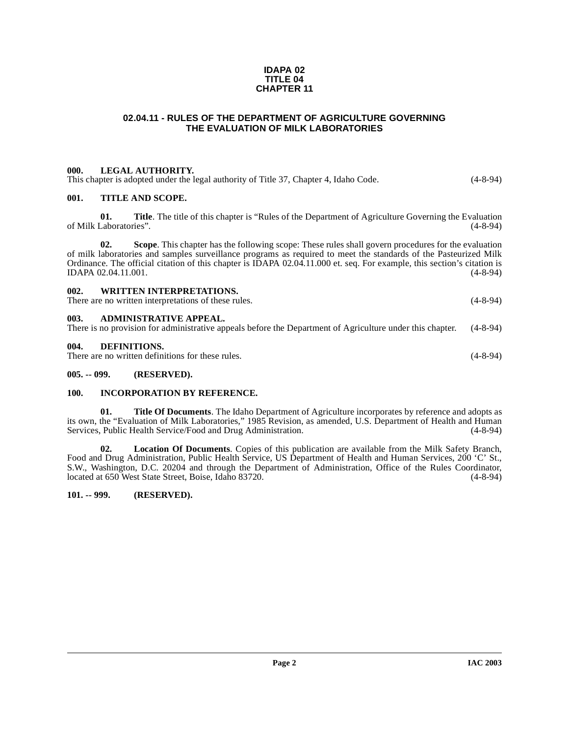#### **IDAPA 02 TITLE 04 CHAPTER 11**

#### **02.04.11 - RULES OF THE DEPARTMENT OF AGRICULTURE GOVERNING THE EVALUATION OF MILK LABORATORIES**

#### <span id="page-1-1"></span><span id="page-1-0"></span>**000. LEGAL AUTHORITY.**

<span id="page-1-2"></span>

|      |                               | This chapter is adopted under the legal authority of Title 37, Chapter 4, Idaho Code.                       | $(4 - 8 - 94)$ |  |
|------|-------------------------------|-------------------------------------------------------------------------------------------------------------|----------------|--|
| 001. | <b>TITLE AND SCOPE.</b>       |                                                                                                             |                |  |
|      | 01.<br>of Milk Laboratories". | <b>Title.</b> The title of this chapter is "Rules of the Department of Agriculture Governing the Evaluation | $(4 - 8 - 94)$ |  |
|      | Λ9                            | Reape, This aboptor has the following seems: These rules shall govern precedures for the evoluction         |                |  |

**02.** Scope. This chapter has the following scope: These rules shall govern procedures for the evaluation of milk laboratories and samples surveillance programs as required to meet the standards of the Pasteurized Milk Ordinance. The official citation of this chapter is IDAPA 02.04.11.000 et. seq. For example, this section's citation is<br>IDAPA 02.04.11.001. (4-8-94) IDAPA 02.04.11.001.

<span id="page-1-4"></span><span id="page-1-3"></span>

| <b>WRITTEN INTERPRETATIONS.</b><br>002.<br>There are no written interpretations of these rules.                                             | $(4 - 8 - 94)$ |
|---------------------------------------------------------------------------------------------------------------------------------------------|----------------|
| 003.<br>ADMINISTRATIVE APPEAL.<br>There is no provision for administrative appeals before the Department of Agriculture under this chapter. | $(4 - 8 - 94)$ |
| 004.<br>DEFINITIONS.<br>There are no written definitions for these rules.                                                                   | $(4 - 8 - 94)$ |

#### <span id="page-1-9"></span><span id="page-1-6"></span><span id="page-1-5"></span>**005. -- 099. (RESERVED).**

#### <span id="page-1-7"></span>**100. INCORPORATION BY REFERENCE.**

**01. Title Of Documents**. The Idaho Department of Agriculture incorporates by reference and adopts as its own, the "Evaluation of Milk Laboratories," 1985 Revision, as amended, U.S. Department of Health and Human Services, Public Health Service/Food and Drug Administration. (4-8-94)

**02. Location Of Documents**. Copies of this publication are available from the Milk Safety Branch, Food and Drug Administration, Public Health Service, US Department of Health and Human Services, 200 'C' St., S.W., Washington, D.C. 20204 and through the Department of Administration, Office of the Rules Coordinator, located at 650 West State Street, Boise, Idaho 83720.

#### <span id="page-1-8"></span>**101. -- 999. (RESERVED).**